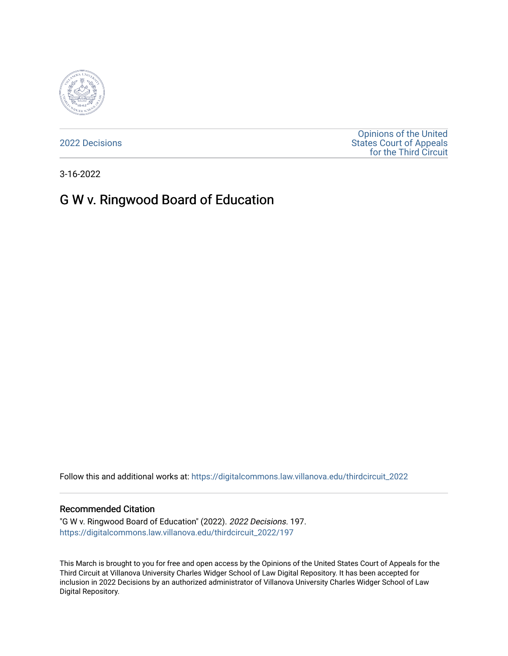

[2022 Decisions](https://digitalcommons.law.villanova.edu/thirdcircuit_2022)

[Opinions of the United](https://digitalcommons.law.villanova.edu/thirdcircuit)  [States Court of Appeals](https://digitalcommons.law.villanova.edu/thirdcircuit)  [for the Third Circuit](https://digitalcommons.law.villanova.edu/thirdcircuit) 

3-16-2022

# G W v. Ringwood Board of Education

Follow this and additional works at: [https://digitalcommons.law.villanova.edu/thirdcircuit\\_2022](https://digitalcommons.law.villanova.edu/thirdcircuit_2022?utm_source=digitalcommons.law.villanova.edu%2Fthirdcircuit_2022%2F197&utm_medium=PDF&utm_campaign=PDFCoverPages) 

#### Recommended Citation

"G W v. Ringwood Board of Education" (2022). 2022 Decisions. 197. [https://digitalcommons.law.villanova.edu/thirdcircuit\\_2022/197](https://digitalcommons.law.villanova.edu/thirdcircuit_2022/197?utm_source=digitalcommons.law.villanova.edu%2Fthirdcircuit_2022%2F197&utm_medium=PDF&utm_campaign=PDFCoverPages)

This March is brought to you for free and open access by the Opinions of the United States Court of Appeals for the Third Circuit at Villanova University Charles Widger School of Law Digital Repository. It has been accepted for inclusion in 2022 Decisions by an authorized administrator of Villanova University Charles Widger School of Law Digital Repository.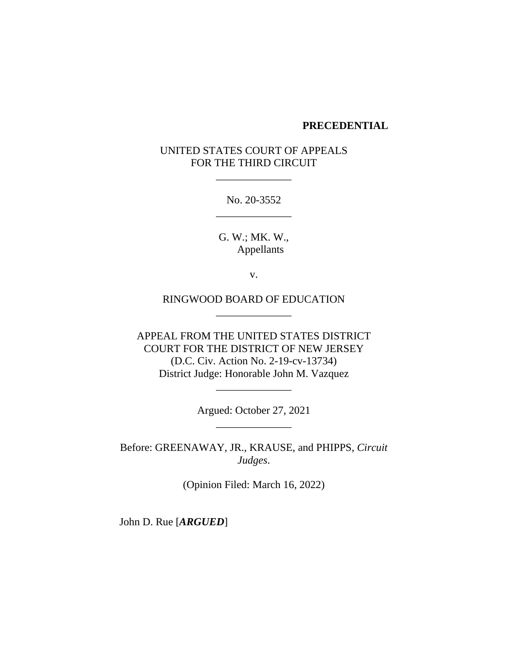#### **PRECEDENTIAL**

### UNITED STATES COURT OF APPEALS FOR THE THIRD CIRCUIT

\_\_\_\_\_\_\_\_\_\_\_\_\_\_

No. 20-3552 \_\_\_\_\_\_\_\_\_\_\_\_\_\_

G. W.; MK. W., Appellants

v.

RINGWOOD BOARD OF EDUCATION \_\_\_\_\_\_\_\_\_\_\_\_\_\_

APPEAL FROM THE UNITED STATES DISTRICT COURT FOR THE DISTRICT OF NEW JERSEY (D.C. Civ. Action No. 2-19-cv-13734) District Judge: Honorable John M. Vazquez

> Argued: October 27, 2021 \_\_\_\_\_\_\_\_\_\_\_\_\_\_

\_\_\_\_\_\_\_\_\_\_\_\_\_\_

Before: GREENAWAY, JR., KRAUSE, and PHIPPS, *Circuit Judges*.

(Opinion Filed: March 16, 2022)

John D. Rue [*ARGUED*]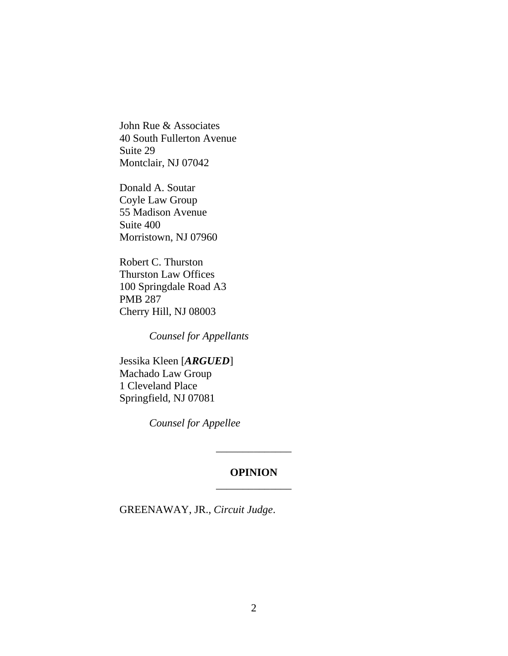John Rue & Associates 40 South Fullerton Avenue Suite 29 Montclair, NJ 07042

Donald A. Soutar Coyle Law Group 55 Madison Avenue Suite 400 Morristown, NJ 07960

Robert C. Thurston Thurston Law Offices 100 Springdale Road A3 PMB 287 Cherry Hill, NJ 08003

*Counsel for Appellants*

Jessika Kleen [*ARGUED*] Machado Law Group 1 Cleveland Place Springfield, NJ 07081

*Counsel for Appellee*

### **OPINION** \_\_\_\_\_\_\_\_\_\_\_\_\_\_

\_\_\_\_\_\_\_\_\_\_\_\_\_\_

GREENAWAY, JR., *Circuit Judge*.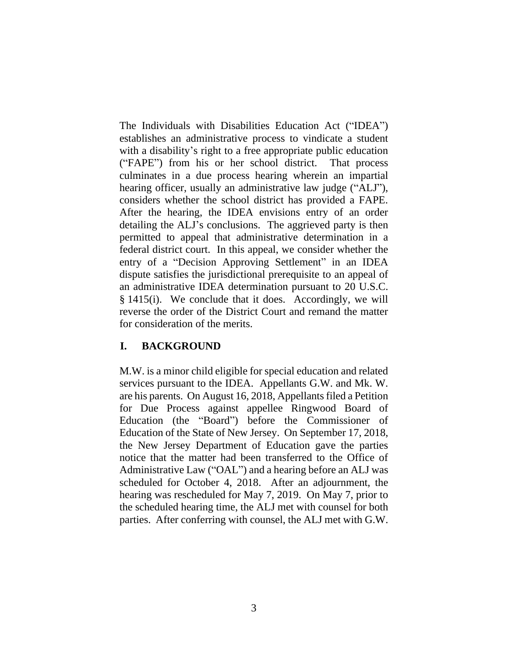The Individuals with Disabilities Education Act ("IDEA") establishes an administrative process to vindicate a student with a disability's right to a free appropriate public education ("FAPE") from his or her school district. That process culminates in a due process hearing wherein an impartial hearing officer, usually an administrative law judge ("ALJ"), considers whether the school district has provided a FAPE. After the hearing, the IDEA envisions entry of an order detailing the ALJ's conclusions. The aggrieved party is then permitted to appeal that administrative determination in a federal district court. In this appeal, we consider whether the entry of a "Decision Approving Settlement" in an IDEA dispute satisfies the jurisdictional prerequisite to an appeal of an administrative IDEA determination pursuant to 20 U.S.C. § 1415(i). We conclude that it does. Accordingly, we will reverse the order of the District Court and remand the matter for consideration of the merits.

### **I. BACKGROUND**

M.W. is a minor child eligible for special education and related services pursuant to the IDEA. Appellants G.W. and Mk. W. are his parents. On August 16, 2018, Appellants filed a Petition for Due Process against appellee Ringwood Board of Education (the "Board") before the Commissioner of Education of the State of New Jersey. On September 17, 2018, the New Jersey Department of Education gave the parties notice that the matter had been transferred to the Office of Administrative Law ("OAL") and a hearing before an ALJ was scheduled for October 4, 2018. After an adjournment, the hearing was rescheduled for May 7, 2019. On May 7, prior to the scheduled hearing time, the ALJ met with counsel for both parties. After conferring with counsel, the ALJ met with G.W.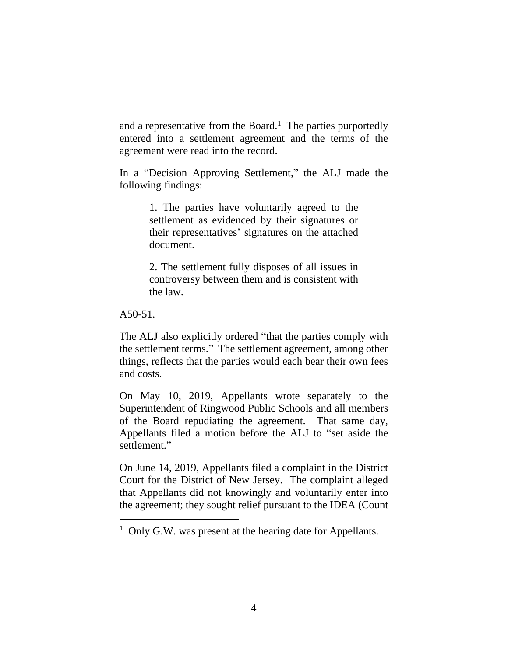and a representative from the Board.<sup>1</sup> The parties purportedly entered into a settlement agreement and the terms of the agreement were read into the record.

In a "Decision Approving Settlement," the ALJ made the following findings:

> 1. The parties have voluntarily agreed to the settlement as evidenced by their signatures or their representatives' signatures on the attached document.

> 2. The settlement fully disposes of all issues in controversy between them and is consistent with the law.

A50-51.

The ALJ also explicitly ordered "that the parties comply with the settlement terms." The settlement agreement, among other things, reflects that the parties would each bear their own fees and costs.

On May 10, 2019, Appellants wrote separately to the Superintendent of Ringwood Public Schools and all members of the Board repudiating the agreement. That same day, Appellants filed a motion before the ALJ to "set aside the settlement."

On June 14, 2019, Appellants filed a complaint in the District Court for the District of New Jersey. The complaint alleged that Appellants did not knowingly and voluntarily enter into the agreement; they sought relief pursuant to the IDEA (Count

<sup>&</sup>lt;sup>1</sup> Only G.W. was present at the hearing date for Appellants.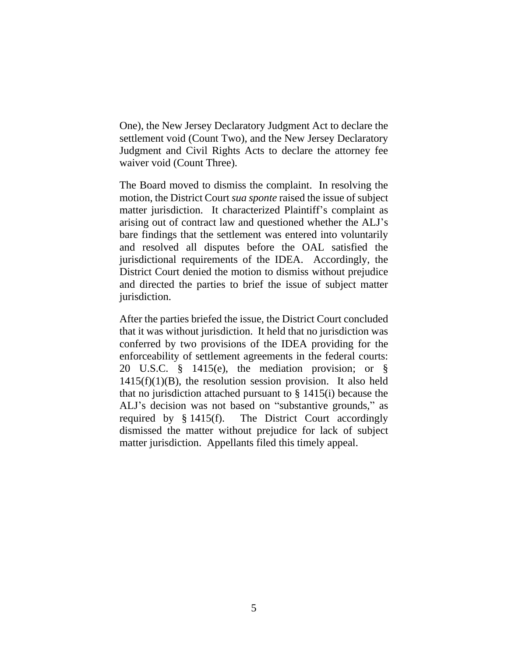One), the New Jersey Declaratory Judgment Act to declare the settlement void (Count Two), and the New Jersey Declaratory Judgment and Civil Rights Acts to declare the attorney fee waiver void (Count Three).

The Board moved to dismiss the complaint. In resolving the motion, the District Court *sua sponte* raised the issue of subject matter jurisdiction. It characterized Plaintiff's complaint as arising out of contract law and questioned whether the ALJ's bare findings that the settlement was entered into voluntarily and resolved all disputes before the OAL satisfied the jurisdictional requirements of the IDEA. Accordingly, the District Court denied the motion to dismiss without prejudice and directed the parties to brief the issue of subject matter jurisdiction.

After the parties briefed the issue, the District Court concluded that it was without jurisdiction. It held that no jurisdiction was conferred by two provisions of the IDEA providing for the enforceability of settlement agreements in the federal courts: 20 U.S.C. § 1415(e), the mediation provision; or §  $1415(f)(1)(B)$ , the resolution session provision. It also held that no jurisdiction attached pursuant to  $\S$  1415(i) because the ALJ's decision was not based on "substantive grounds," as required by § 1415(f). The District Court accordingly dismissed the matter without prejudice for lack of subject matter jurisdiction. Appellants filed this timely appeal.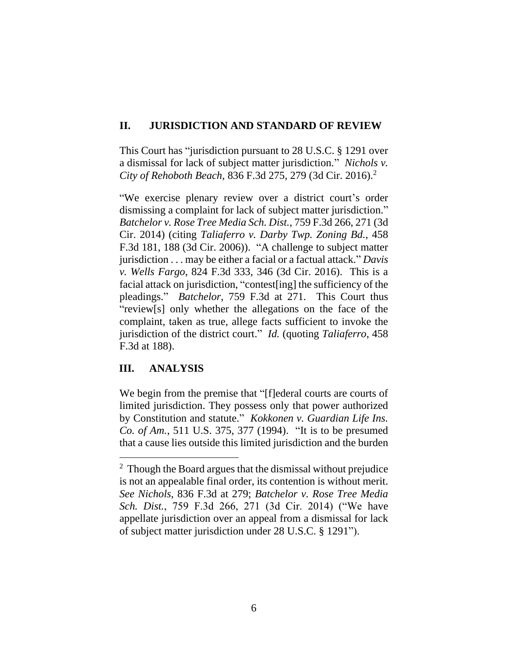## **II. JURISDICTION AND STANDARD OF REVIEW**

This Court has "jurisdiction pursuant to 28 U.S.C. § 1291 over a dismissal for lack of subject matter jurisdiction." *Nichols v. City of Rehoboth Beach*, 836 F.3d 275, 279 (3d Cir. 2016).<sup>2</sup>

"We exercise plenary review over a district court's order dismissing a complaint for lack of subject matter jurisdiction." *Batchelor v. Rose Tree Media Sch. Dist.*, 759 F.3d 266, 271 (3d Cir. 2014) (citing *Taliaferro v. Darby Twp. Zoning Bd.*, 458 F.3d 181, 188 (3d Cir. 2006)). "A challenge to subject matter jurisdiction . . . may be either a facial or a factual attack." *Davis v. Wells Fargo*, 824 F.3d 333, 346 (3d Cir. 2016). This is a facial attack on jurisdiction, "contest[ing] the sufficiency of the pleadings." *Batchelor*, 759 F.3d at 271. This Court thus "review[s] only whether the allegations on the face of the complaint, taken as true, allege facts sufficient to invoke the jurisdiction of the district court." *Id.* (quoting *Taliaferro*, 458 F.3d at 188).

# **III. ANALYSIS**

We begin from the premise that "[f]ederal courts are courts of limited jurisdiction. They possess only that power authorized by Constitution and statute." *Kokkonen v. Guardian Life Ins. Co. of Am.*, 511 U.S. 375, 377 (1994). "It is to be presumed that a cause lies outside this limited jurisdiction and the burden

<sup>&</sup>lt;sup>2</sup> Though the Board argues that the dismissal without prejudice is not an appealable final order, its contention is without merit. *See Nichols*, 836 F.3d at 279; *Batchelor v. Rose Tree Media Sch. Dist.*, 759 F.3d 266, 271 (3d Cir. 2014) ("We have appellate jurisdiction over an appeal from a dismissal for lack of subject matter jurisdiction under 28 U.S.C. § 1291").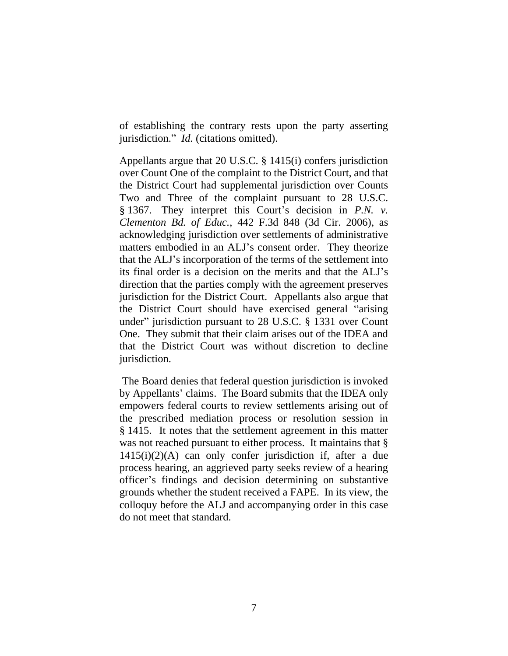of establishing the contrary rests upon the party asserting jurisdiction." *Id.* (citations omitted).

Appellants argue that 20 U.S.C. § 1415(i) confers jurisdiction over Count One of the complaint to the District Court, and that the District Court had supplemental jurisdiction over Counts Two and Three of the complaint pursuant to 28 U.S.C. § 1367. They interpret this Court's decision in *P.N. v. Clementon Bd. of Educ.*, 442 F.3d 848 (3d Cir. 2006), as acknowledging jurisdiction over settlements of administrative matters embodied in an ALJ's consent order. They theorize that the ALJ's incorporation of the terms of the settlement into its final order is a decision on the merits and that the ALJ's direction that the parties comply with the agreement preserves jurisdiction for the District Court. Appellants also argue that the District Court should have exercised general "arising under" jurisdiction pursuant to 28 U.S.C. § 1331 over Count One. They submit that their claim arises out of the IDEA and that the District Court was without discretion to decline jurisdiction.

The Board denies that federal question jurisdiction is invoked by Appellants' claims. The Board submits that the IDEA only empowers federal courts to review settlements arising out of the prescribed mediation process or resolution session in § 1415. It notes that the settlement agreement in this matter was not reached pursuant to either process. It maintains that § 1415(i)(2)(A) can only confer jurisdiction if, after a due process hearing, an aggrieved party seeks review of a hearing officer's findings and decision determining on substantive grounds whether the student received a FAPE. In its view, the colloquy before the ALJ and accompanying order in this case do not meet that standard.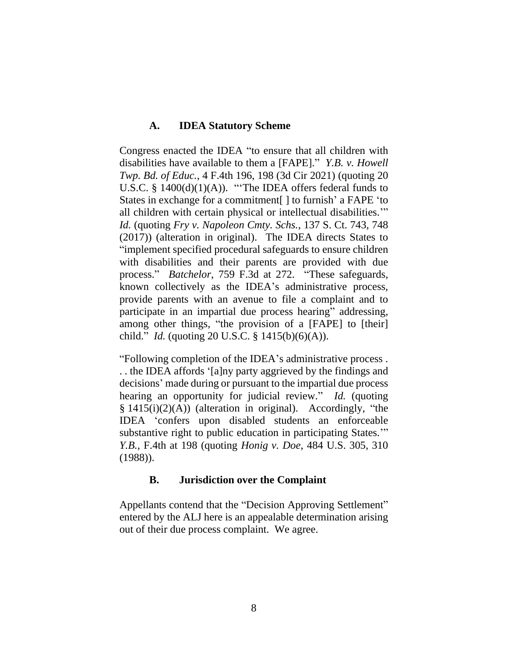## **A. IDEA Statutory Scheme**

Congress enacted the IDEA "to ensure that all children with disabilities have available to them a [FAPE]." *Y.B. v. Howell Twp. Bd. of Educ.*, 4 F.4th 196, 198 (3d Cir 2021) (quoting 20 U.S.C. § 1400(d)(1)(A)). "'The IDEA offers federal funds to States in exchange for a commitment[ ] to furnish' a FAPE 'to all children with certain physical or intellectual disabilities.'" *Id.* (quoting *Fry v. Napoleon Cmty. Schs.*, 137 S. Ct. 743, 748 (2017)) (alteration in original). The IDEA directs States to "implement specified procedural safeguards to ensure children with disabilities and their parents are provided with due process." *Batchelor*, 759 F.3d at 272. "These safeguards, known collectively as the IDEA's administrative process, provide parents with an avenue to file a complaint and to participate in an impartial due process hearing" addressing, among other things, "the provision of a [FAPE] to [their] child." *Id.* (quoting 20 U.S.C. § 1415(b)(6)(A)).

"Following completion of the IDEA's administrative process . . . the IDEA affords '[a]ny party aggrieved by the findings and decisions' made during or pursuant to the impartial due process hearing an opportunity for judicial review." *Id.* (quoting § 1415(i)(2)(A)) (alteration in original). Accordingly, "the IDEA 'confers upon disabled students an enforceable substantive right to public education in participating States.'" *Y.B.*, F.4th at 198 (quoting *Honig v. Doe*, 484 U.S. 305, 310 (1988)).

### **B. Jurisdiction over the Complaint**

Appellants contend that the "Decision Approving Settlement" entered by the ALJ here is an appealable determination arising out of their due process complaint. We agree.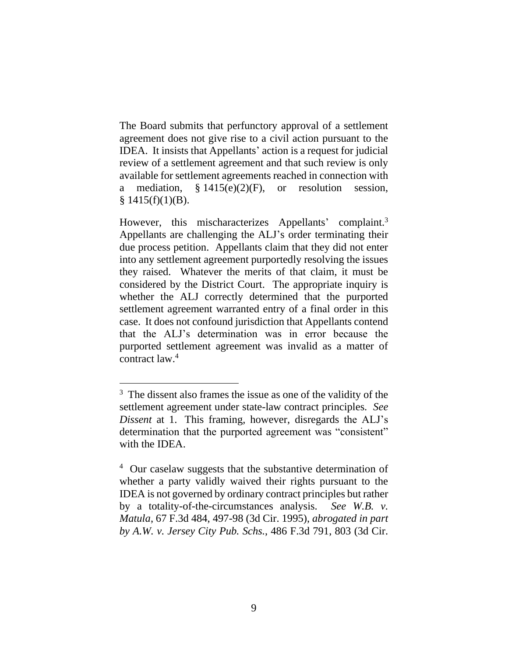The Board submits that perfunctory approval of a settlement agreement does not give rise to a civil action pursuant to the IDEA. It insists that Appellants' action is a request for judicial review of a settlement agreement and that such review is only available for settlement agreements reached in connection with a mediation,  $§ 1415(e)(2)(F)$ , or resolution session,  $§ 1415(f)(1)(B).$ 

However, this mischaracterizes Appellants' complaint.<sup>3</sup> Appellants are challenging the ALJ's order terminating their due process petition. Appellants claim that they did not enter into any settlement agreement purportedly resolving the issues they raised. Whatever the merits of that claim, it must be considered by the District Court. The appropriate inquiry is whether the ALJ correctly determined that the purported settlement agreement warranted entry of a final order in this case. It does not confound jurisdiction that Appellants contend that the ALJ's determination was in error because the purported settlement agreement was invalid as a matter of contract law. 4

<sup>&</sup>lt;sup>3</sup> The dissent also frames the issue as one of the validity of the settlement agreement under state-law contract principles. *See Dissent* at 1. This framing, however, disregards the ALJ's determination that the purported agreement was "consistent" with the IDEA.

<sup>&</sup>lt;sup>4</sup> Our caselaw suggests that the substantive determination of whether a party validly waived their rights pursuant to the IDEA is not governed by ordinary contract principles but rather by a totality-of-the-circumstances analysis. *See W.B. v. Matula*, 67 F.3d 484, 497-98 (3d Cir. 1995), *abrogated in part by A.W. v. Jersey City Pub. Schs.*, 486 F.3d 791, 803 (3d Cir.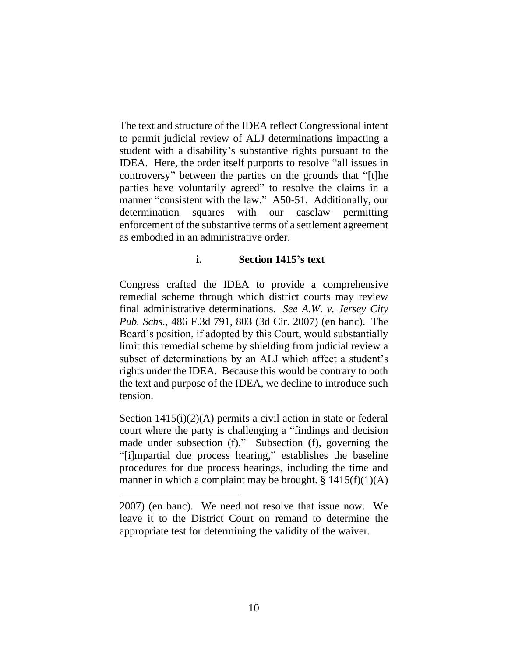The text and structure of the IDEA reflect Congressional intent to permit judicial review of ALJ determinations impacting a student with a disability's substantive rights pursuant to the IDEA. Here, the order itself purports to resolve "all issues in controversy" between the parties on the grounds that "[t]he parties have voluntarily agreed" to resolve the claims in a manner "consistent with the law." A50-51. Additionally, our determination squares with our caselaw permitting enforcement of the substantive terms of a settlement agreement as embodied in an administrative order.

### **i. Section 1415's text**

Congress crafted the IDEA to provide a comprehensive remedial scheme through which district courts may review final administrative determinations. *See A.W. v. Jersey City Pub. Schs.*, 486 F.3d 791, 803 (3d Cir. 2007) (en banc). The Board's position, if adopted by this Court, would substantially limit this remedial scheme by shielding from judicial review a subset of determinations by an ALJ which affect a student's rights under the IDEA. Because this would be contrary to both the text and purpose of the IDEA, we decline to introduce such tension.

Section 1415(i)(2)(A) permits a civil action in state or federal court where the party is challenging a "findings and decision made under subsection (f)." Subsection (f), governing the "[i]mpartial due process hearing," establishes the baseline procedures for due process hearings, including the time and manner in which a complaint may be brought.  $\S 1415(f)(1)(A)$ 

<sup>2007) (</sup>en banc). We need not resolve that issue now. We leave it to the District Court on remand to determine the appropriate test for determining the validity of the waiver.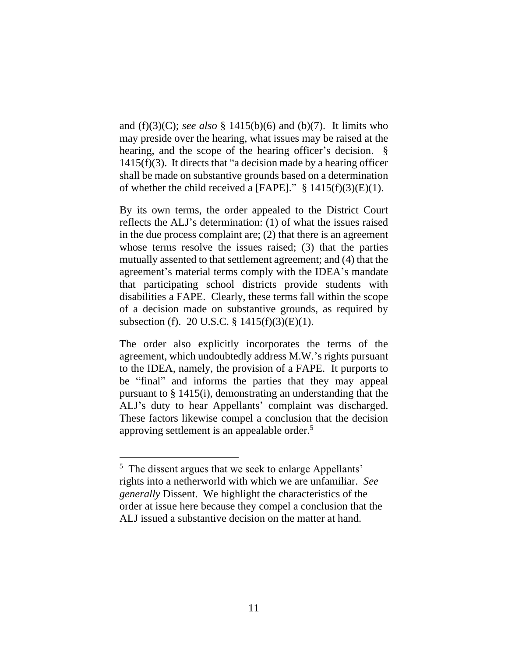and (f)(3)(C); *see also* § 1415(b)(6) and (b)(7). It limits who may preside over the hearing, what issues may be raised at the hearing, and the scope of the hearing officer's decision.  $\S$  $1415(f)(3)$ . It directs that "a decision made by a hearing officer shall be made on substantive grounds based on a determination of whether the child received a [FAPE]."  $\S$  1415(f)(3)(E)(1).

By its own terms, the order appealed to the District Court reflects the ALJ's determination: (1) of what the issues raised in the due process complaint are; (2) that there is an agreement whose terms resolve the issues raised; (3) that the parties mutually assented to that settlement agreement; and (4) that the agreement's material terms comply with the IDEA's mandate that participating school districts provide students with disabilities a FAPE. Clearly, these terms fall within the scope of a decision made on substantive grounds, as required by subsection (f). 20 U.S.C. § 1415(f)(3)(E)(1).

The order also explicitly incorporates the terms of the agreement, which undoubtedly address M.W.'s rights pursuant to the IDEA, namely, the provision of a FAPE. It purports to be "final" and informs the parties that they may appeal pursuant to § 1415(i), demonstrating an understanding that the ALJ's duty to hear Appellants' complaint was discharged. These factors likewise compel a conclusion that the decision approving settlement is an appealable order.<sup>5</sup>

<sup>&</sup>lt;sup>5</sup> The dissent argues that we seek to enlarge Appellants' rights into a netherworld with which we are unfamiliar. *See generally* Dissent. We highlight the characteristics of the order at issue here because they compel a conclusion that the ALJ issued a substantive decision on the matter at hand.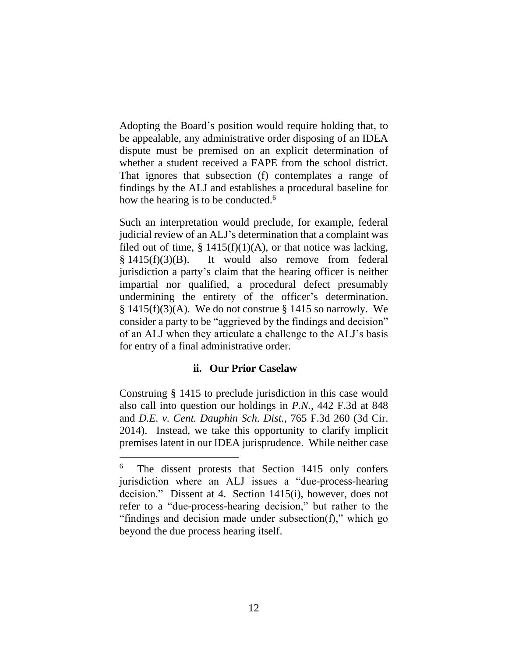Adopting the Board's position would require holding that, to be appealable, any administrative order disposing of an IDEA dispute must be premised on an explicit determination of whether a student received a FAPE from the school district. That ignores that subsection (f) contemplates a range of findings by the ALJ and establishes a procedural baseline for how the hearing is to be conducted.<sup>6</sup>

Such an interpretation would preclude, for example, federal judicial review of an ALJ's determination that a complaint was filed out of time,  $\S$  1415(f)(1)(A), or that notice was lacking, § 1415(f)(3)(B). It would also remove from federal jurisdiction a party's claim that the hearing officer is neither impartial nor qualified, a procedural defect presumably undermining the entirety of the officer's determination.  $\S$  1415(f)(3)(A). We do not construe  $\S$  1415 so narrowly. We consider a party to be "aggrieved by the findings and decision" of an ALJ when they articulate a challenge to the ALJ's basis for entry of a final administrative order.

### **ii. Our Prior Caselaw**

Construing § 1415 to preclude jurisdiction in this case would also call into question our holdings in *P.N.*, 442 F.3d at 848 and *D.E. v. Cent. Dauphin Sch. Dist.*, 765 F.3d 260 (3d Cir. 2014). Instead, we take this opportunity to clarify implicit premises latent in our IDEA jurisprudence. While neither case

<sup>6</sup> The dissent protests that Section 1415 only confers jurisdiction where an ALJ issues a "due-process-hearing decision." Dissent at 4. Section 1415(i), however, does not refer to a "due-process-hearing decision," but rather to the "findings and decision made under subsection(f)," which go beyond the due process hearing itself.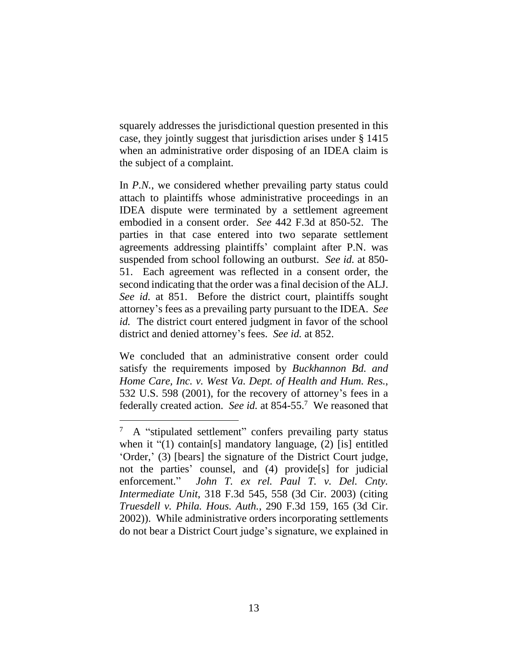squarely addresses the jurisdictional question presented in this case, they jointly suggest that jurisdiction arises under § 1415 when an administrative order disposing of an IDEA claim is the subject of a complaint.

In *P.N.*, we considered whether prevailing party status could attach to plaintiffs whose administrative proceedings in an IDEA dispute were terminated by a settlement agreement embodied in a consent order. *See* 442 F.3d at 850-52. The parties in that case entered into two separate settlement agreements addressing plaintiffs' complaint after P.N. was suspended from school following an outburst. *See id.* at 850- 51. Each agreement was reflected in a consent order, the second indicating that the order was a final decision of the ALJ. *See id.* at 851. Before the district court, plaintiffs sought attorney's fees as a prevailing party pursuant to the IDEA. *See id.* The district court entered judgment in favor of the school district and denied attorney's fees. *See id.* at 852.

We concluded that an administrative consent order could satisfy the requirements imposed by *Buckhannon Bd. and Home Care, Inc. v. West Va. Dept. of Health and Hum. Res.*, 532 U.S. 598 (2001), for the recovery of attorney's fees in a federally created action. *See id.* at 854-55.<sup>7</sup> We reasoned that

<sup>7</sup> A "stipulated settlement" confers prevailing party status when it "(1) contain[s] mandatory language, (2) [is] entitled 'Order,' (3) [bears] the signature of the District Court judge, not the parties' counsel, and (4) provide<sup>[s]</sup> for judicial enforcement." *John T. ex rel. Paul T. v. Del. Cnty. Intermediate Unit*, 318 F.3d 545, 558 (3d Cir. 2003) (citing *Truesdell v. Phila. Hous. Auth.*, 290 F.3d 159, 165 (3d Cir. 2002)). While administrative orders incorporating settlements do not bear a District Court judge's signature, we explained in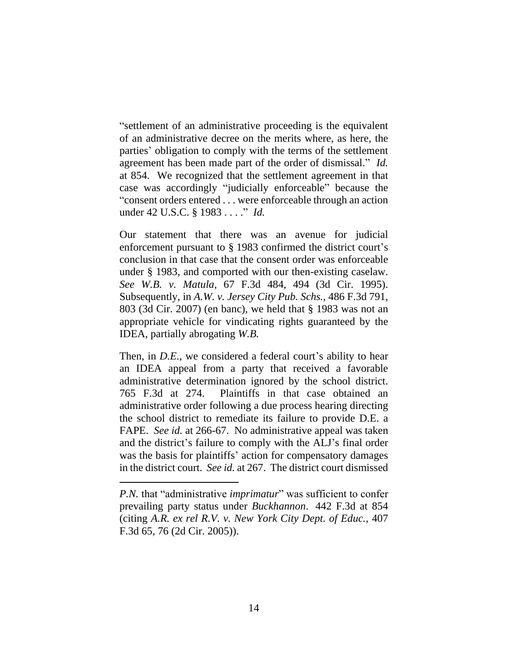"settlement of an administrative proceeding is the equivalent of an administrative decree on the merits where, as here, the parties' obligation to comply with the terms of the settlement agreement has been made part of the order of dismissal." *Id.* at 854. We recognized that the settlement agreement in that case was accordingly "judicially enforceable" because the "consent orders entered . . . were enforceable through an action under 42 U.S.C. § 1983 . . . ." *Id.*

Our statement that there was an avenue for judicial enforcement pursuant to § 1983 confirmed the district court's conclusion in that case that the consent order was enforceable under § 1983, and comported with our then-existing caselaw. *See W.B. v. Matula*, 67 F.3d 484, 494 (3d Cir. 1995). Subsequently, in *A.W. v. Jersey City Pub. Schs.*, 486 F.3d 791, 803 (3d Cir. 2007) (en banc), we held that § 1983 was not an appropriate vehicle for vindicating rights guaranteed by the IDEA, partially abrogating *W.B.*

Then, in *D.E.*, we considered a federal court's ability to hear an IDEA appeal from a party that received a favorable administrative determination ignored by the school district. 765 F.3d at 274. Plaintiffs in that case obtained an administrative order following a due process hearing directing the school district to remediate its failure to provide D.E. a FAPE. *See id.* at 266-67. No administrative appeal was taken and the district's failure to comply with the ALJ's final order was the basis for plaintiffs' action for compensatory damages in the district court. *See id.* at 267. The district court dismissed

*P.N.* that "administrative *imprimatur*" was sufficient to confer prevailing party status under *Buckhannon*. 442 F.3d at 854 (citing *A.R. ex rel R.V. v. New York City Dept. of Educ.*, 407 F.3d 65, 76 (2d Cir. 2005)).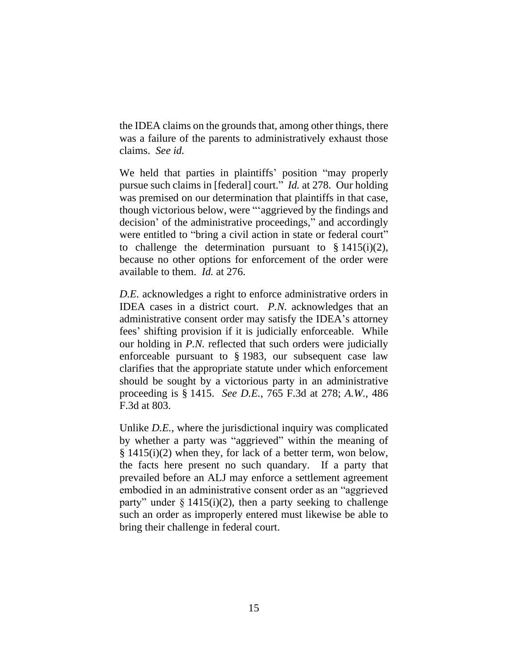the IDEA claims on the grounds that, among other things, there was a failure of the parents to administratively exhaust those claims. *See id.*

We held that parties in plaintiffs' position "may properly pursue such claims in [federal] court." *Id.* at 278. Our holding was premised on our determination that plaintiffs in that case, though victorious below, were "'aggrieved by the findings and decision' of the administrative proceedings," and accordingly were entitled to "bring a civil action in state or federal court" to challenge the determination pursuant to  $\S 1415(i)(2)$ , because no other options for enforcement of the order were available to them. *Id.* at 276.

*D.E.* acknowledges a right to enforce administrative orders in IDEA cases in a district court. *P.N.* acknowledges that an administrative consent order may satisfy the IDEA's attorney fees' shifting provision if it is judicially enforceable. While our holding in *P.N.* reflected that such orders were judicially enforceable pursuant to § 1983, our subsequent case law clarifies that the appropriate statute under which enforcement should be sought by a victorious party in an administrative proceeding is § 1415. *See D.E.*, 765 F.3d at 278; *A.W.*, 486 F.3d at 803.

Unlike *D.E.*, where the jurisdictional inquiry was complicated by whether a party was "aggrieved" within the meaning of  $\S$  1415(i)(2) when they, for lack of a better term, won below, the facts here present no such quandary. If a party that prevailed before an ALJ may enforce a settlement agreement embodied in an administrative consent order as an "aggrieved party" under  $\S 1415(i)(2)$ , then a party seeking to challenge such an order as improperly entered must likewise be able to bring their challenge in federal court.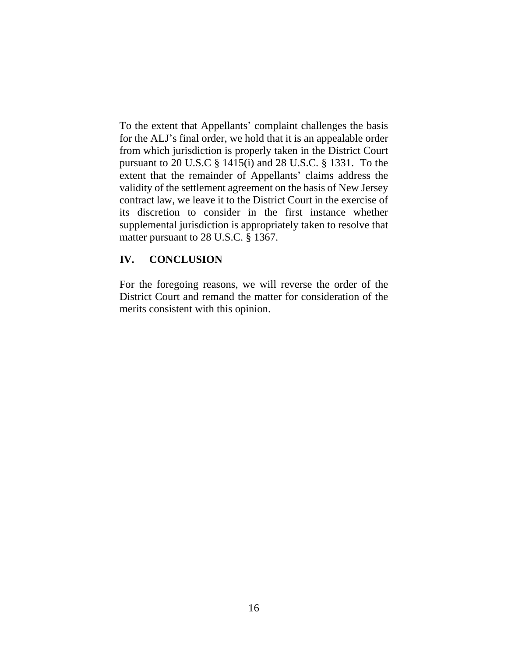To the extent that Appellants' complaint challenges the basis for the ALJ's final order, we hold that it is an appealable order from which jurisdiction is properly taken in the District Court pursuant to 20 U.S.C § 1415(i) and 28 U.S.C. § 1331. To the extent that the remainder of Appellants' claims address the validity of the settlement agreement on the basis of New Jersey contract law, we leave it to the District Court in the exercise of its discretion to consider in the first instance whether supplemental jurisdiction is appropriately taken to resolve that matter pursuant to 28 U.S.C. § 1367.

### **IV. CONCLUSION**

For the foregoing reasons, we will reverse the order of the District Court and remand the matter for consideration of the merits consistent with this opinion.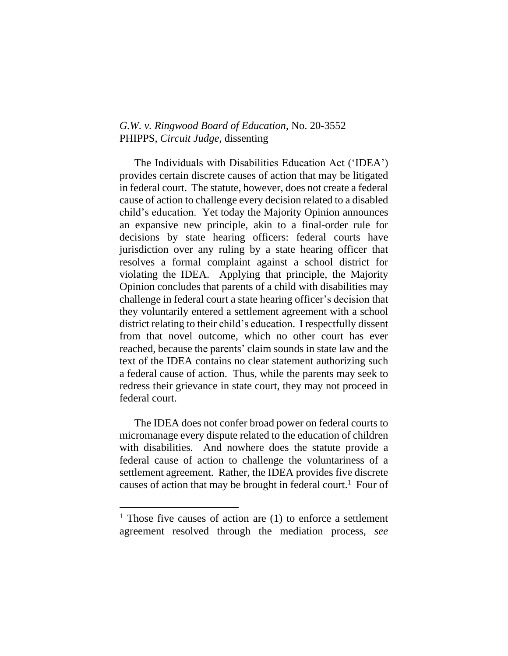#### *G.W. v. Ringwood Board of Education*, No. 20-3552 PHIPPS, *Circuit Judge*, dissenting

The Individuals with Disabilities Education Act ('IDEA') provides certain discrete causes of action that may be litigated in federal court. The statute, however, does not create a federal cause of action to challenge every decision related to a disabled child's education. Yet today the Majority Opinion announces an expansive new principle, akin to a final-order rule for decisions by state hearing officers: federal courts have jurisdiction over any ruling by a state hearing officer that resolves a formal complaint against a school district for violating the IDEA. Applying that principle, the Majority Opinion concludes that parents of a child with disabilities may challenge in federal court a state hearing officer's decision that they voluntarily entered a settlement agreement with a school district relating to their child's education. I respectfully dissent from that novel outcome, which no other court has ever reached, because the parents' claim sounds in state law and the text of the IDEA contains no clear statement authorizing such a federal cause of action. Thus, while the parents may seek to redress their grievance in state court, they may not proceed in federal court.

The IDEA does not confer broad power on federal courts to micromanage every dispute related to the education of children with disabilities. And nowhere does the statute provide a federal cause of action to challenge the voluntariness of a settlement agreement. Rather, the IDEA provides five discrete causes of action that may be brought in federal court.<sup>1</sup> Four of

 $1$  Those five causes of action are (1) to enforce a settlement agreement resolved through the mediation process, *see*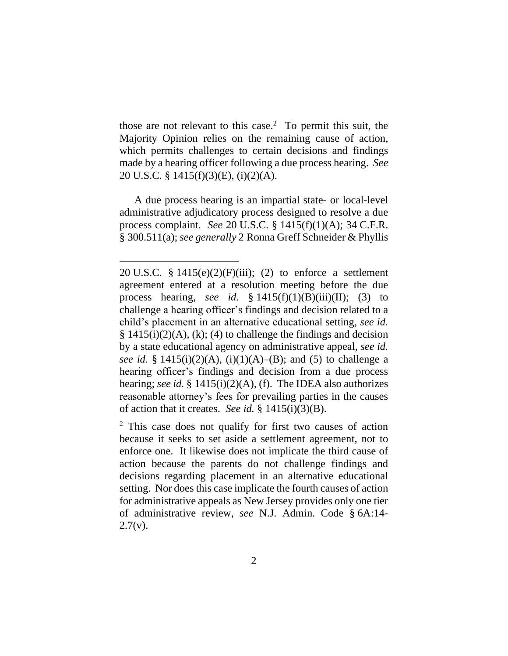those are not relevant to this case.<sup>2</sup> To permit this suit, the Majority Opinion relies on the remaining cause of action, which permits challenges to certain decisions and findings made by a hearing officer following a due process hearing. *See* 20 U.S.C. § 1415(f)(3)(E), (i)(2)(A).

A due process hearing is an impartial state- or local-level administrative adjudicatory process designed to resolve a due process complaint. *See* 20 U.S.C. § 1415(f)(1)(A); 34 C.F.R. § 300.511(a); *see generally* 2 Ronna Greff Schneider & Phyllis

<sup>20</sup> U.S.C. § 1415(e)(2)(F)(iii); (2) to enforce a settlement agreement entered at a resolution meeting before the due process hearing, *see id.*  $\S 1415(f)(1)(B)(iii)(II);$  (3) to challenge a hearing officer's findings and decision related to a child's placement in an alternative educational setting, *see id.*   $§ 1415(i)(2)(A), (k); (4)$  to challenge the findings and decision by a state educational agency on administrative appeal, *see id. see id.* § 1415(i)(2)(A), (i)(1)(A)–(B); and (5) to challenge a hearing officer's findings and decision from a due process hearing; *see id.* § 1415(i)(2)(A), (f). The IDEA also authorizes reasonable attorney's fees for prevailing parties in the causes of action that it creates. *See id.* § 1415(i)(3)(B).

<sup>2</sup> This case does not qualify for first two causes of action because it seeks to set aside a settlement agreement, not to enforce one. It likewise does not implicate the third cause of action because the parents do not challenge findings and decisions regarding placement in an alternative educational setting. Nor does this case implicate the fourth causes of action for administrative appeals as New Jersey provides only one tier of administrative review, *see* N.J. Admin. Code § 6A:14-  $2.7(v)$ .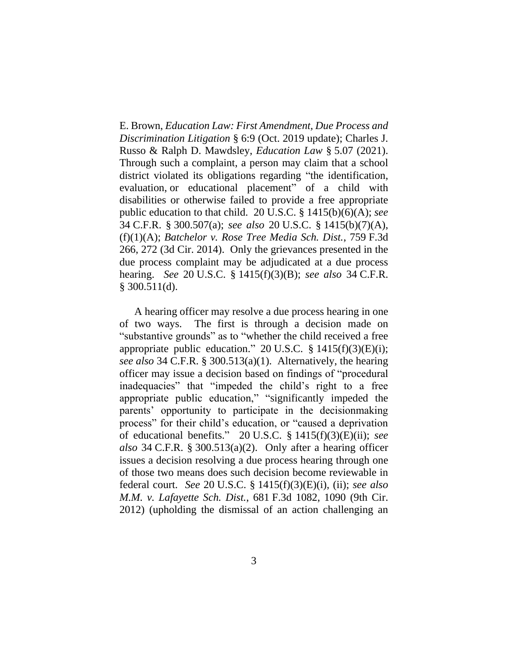E. Brown, *Education Law: First Amendment, Due Process and Discrimination Litigation* § 6:9 (Oct. 2019 update); Charles J. Russo & Ralph D. Mawdsley, *Education Law* § 5.07 (2021). Through such a complaint, a person may claim that a school district violated its obligations regarding "the identification, evaluation, or educational placement" of a child with disabilities or otherwise failed to provide a free appropriate public education to that child. 20 U.S.C. § 1415(b)(6)(A); *see* 34 C.F.R. § 300.507(a); *see also* 20 U.S.C. § 1415(b)(7)(A), (f)(1)(A); *Batchelor v. Rose Tree Media Sch. Dist.*, 759 F.3d 266, 272 (3d Cir. 2014). Only the grievances presented in the due process complaint may be adjudicated at a due process hearing. *See* 20 U.S.C. § 1415(f)(3)(B); *see also* 34 C.F.R. § 300.511(d).

A hearing officer may resolve a due process hearing in one of two ways. The first is through a decision made on "substantive grounds" as to "whether the child received a free appropriate public education." 20 U.S.C.  $\S$  1415(f)(3)(E)(i); *see also* 34 C.F.R. § 300.513(a)(1). Alternatively, the hearing officer may issue a decision based on findings of "procedural inadequacies" that "impeded the child's right to a free appropriate public education," "significantly impeded the parents' opportunity to participate in the decisionmaking process" for their child's education, or "caused a deprivation of educational benefits." 20 U.S.C. § 1415(f)(3)(E)(ii); *see also* 34 C.F.R. § 300.513(a)(2). Only after a hearing officer issues a decision resolving a due process hearing through one of those two means does such decision become reviewable in federal court. *See* 20 U.S.C. § 1415(f)(3)(E)(i), (ii); *see also M.M. v. Lafayette Sch. Dist.*, 681 F.3d 1082, 1090 (9th Cir. 2012) (upholding the dismissal of an action challenging an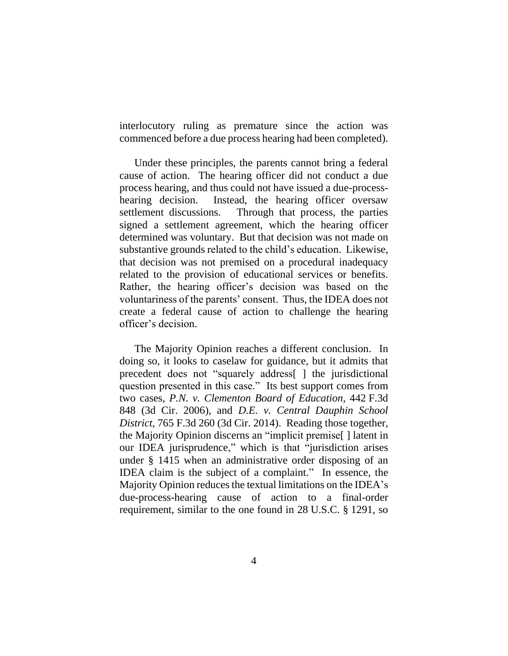interlocutory ruling as premature since the action was commenced before a due process hearing had been completed).

Under these principles, the parents cannot bring a federal cause of action. The hearing officer did not conduct a due process hearing, and thus could not have issued a due-processhearing decision. Instead, the hearing officer oversaw settlement discussions. Through that process, the parties signed a settlement agreement, which the hearing officer determined was voluntary. But that decision was not made on substantive grounds related to the child's education. Likewise, that decision was not premised on a procedural inadequacy related to the provision of educational services or benefits. Rather, the hearing officer's decision was based on the voluntariness of the parents' consent. Thus, the IDEA does not create a federal cause of action to challenge the hearing officer's decision.

The Majority Opinion reaches a different conclusion. In doing so, it looks to caselaw for guidance, but it admits that precedent does not "squarely address[ ] the jurisdictional question presented in this case." Its best support comes from two cases, *P.N. v. Clementon Board of Education*, 442 F.3d 848 (3d Cir. 2006), and *D.E. v. Central Dauphin School District*, 765 F.3d 260 (3d Cir. 2014). Reading those together, the Majority Opinion discerns an "implicit premise[ ] latent in our IDEA jurisprudence," which is that "jurisdiction arises under § 1415 when an administrative order disposing of an IDEA claim is the subject of a complaint." In essence, the Majority Opinion reduces the textual limitations on the IDEA's due-process-hearing cause of action to a final-order requirement, similar to the one found in 28 U.S.C. § 1291, so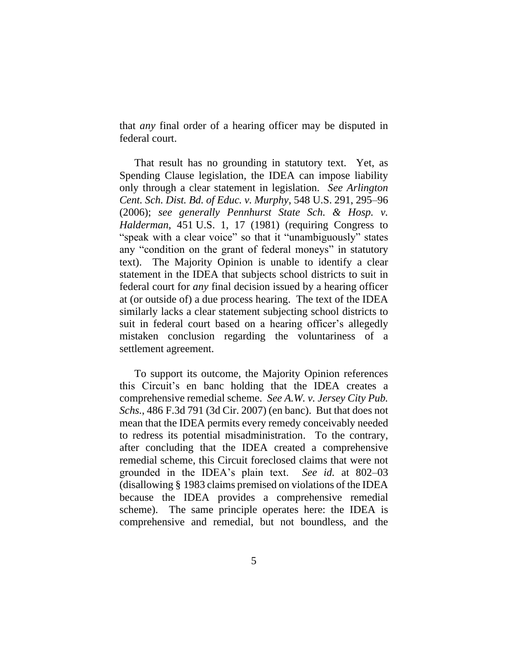that *any* final order of a hearing officer may be disputed in federal court.

That result has no grounding in statutory text. Yet, as Spending Clause legislation, the IDEA can impose liability only through a clear statement in legislation. *See Arlington Cent. Sch. Dist. Bd. of Educ. v. Murphy*, 548 U.S. 291, 295–96 (2006); *see generally Pennhurst State Sch. & Hosp. v. Halderman*, 451 U.S. 1, 17 (1981) (requiring Congress to "speak with a clear voice" so that it "unambiguously" states any "condition on the grant of federal moneys" in statutory text). The Majority Opinion is unable to identify a clear statement in the IDEA that subjects school districts to suit in federal court for *any* final decision issued by a hearing officer at (or outside of) a due process hearing. The text of the IDEA similarly lacks a clear statement subjecting school districts to suit in federal court based on a hearing officer's allegedly mistaken conclusion regarding the voluntariness of a settlement agreement.

To support its outcome, the Majority Opinion references this Circuit's en banc holding that the IDEA creates a comprehensive remedial scheme. *See A.W. v. Jersey City Pub. Schs.*, 486 F.3d 791 (3d Cir. 2007) (en banc). But that does not mean that the IDEA permits every remedy conceivably needed to redress its potential misadministration. To the contrary, after concluding that the IDEA created a comprehensive remedial scheme, this Circuit foreclosed claims that were not grounded in the IDEA's plain text. *See id.* at 802–03 (disallowing § 1983 claims premised on violations of the IDEA because the IDEA provides a comprehensive remedial scheme). The same principle operates here: the IDEA is comprehensive and remedial, but not boundless, and the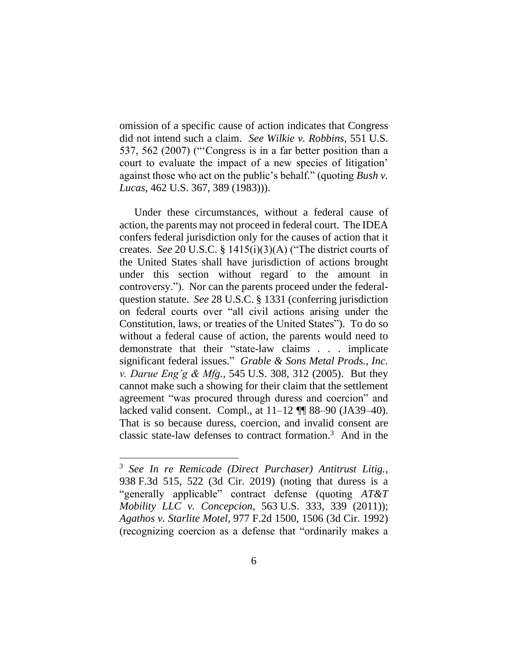omission of a specific cause of action indicates that Congress did not intend such a claim. *See Wilkie v. Robbins*, 551 U.S. 537, 562 (2007) ("'Congress is in a far better position than a court to evaluate the impact of a new species of litigation' against those who act on the public's behalf." (quoting *Bush v. Lucas*, 462 U.S. 367, 389 (1983))).

Under these circumstances, without a federal cause of action, the parents may not proceed in federal court. The IDEA confers federal jurisdiction only for the causes of action that it creates. *See* 20 U.S.C. § 1415(i)(3)(A) ("The district courts of the United States shall have jurisdiction of actions brought under this section without regard to the amount in controversy."). Nor can the parents proceed under the federalquestion statute. *See* 28 U.S.C. § 1331 (conferring jurisdiction on federal courts over "all civil actions arising under the Constitution, laws, or treaties of the United States"). To do so without a federal cause of action, the parents would need to demonstrate that their "state-law claims . . . implicate significant federal issues." *Grable & Sons Metal Prods., Inc. v. Darue Eng'g & Mfg.*, 545 U.S. 308, 312 (2005). But they cannot make such a showing for their claim that the settlement agreement "was procured through duress and coercion" and lacked valid consent. Compl., at 11–12 ¶¶ 88–90 (JA39–40). That is so because duress, coercion, and invalid consent are classic state-law defenses to contract formation.<sup>3</sup> And in the

<sup>3</sup> *See In re Remicade (Direct Purchaser) Antitrust Litig.*, 938 F.3d 515, 522 (3d Cir. 2019) (noting that duress is a "generally applicable" contract defense (quoting *AT&T Mobility LLC v. Concepcion*, 563 U.S. 333, 339 (2011)); *Agathos v. Starlite Motel*, 977 F.2d 1500, 1506 (3d Cir. 1992) (recognizing coercion as a defense that "ordinarily makes a